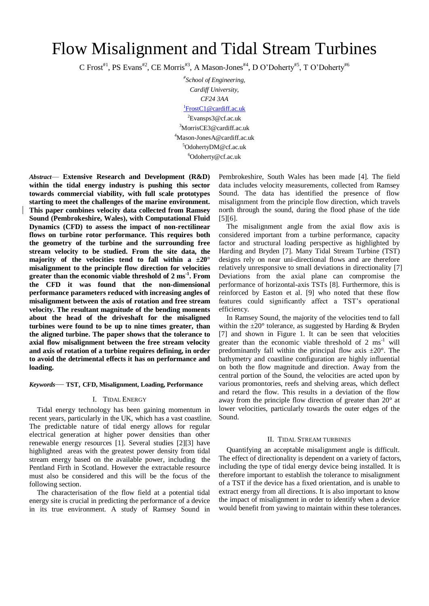# Flow Misalignment and Tidal Stream Turbines

C Frost<sup>#1</sup>, PS Evans<sup>#2</sup>, CE Morris<sup>#3</sup>, A Mason-Jones<sup>#4</sup>, D O'Doherty<sup>#5</sup>, T O'Doherty<sup>#6</sup>

*# School of Engineering, Cardiff University, CF24 3AA* <sup>1</sup>[FrostC1@cardiff.ac.uk](mailto:1FrostC1@cardiff.ac.uk)  $e^2$ Evansps3@cf.ac.uk <sup>3</sup>MorrisCE3@cardiff.ac.uk <sup>4</sup>Mason-JonesA@cardiff.ac.uk <sup>5</sup>OdohertyDM@cf.ac.uk <sup>6</sup>Odoherty@cf.ac.uk

*Abstract*— **Extensive Research and Development (R&D) within the tidal energy industry is pushing this sector towards commercial viability, with full scale prototypes starting to meet the challenges of the marine environment. This paper combines velocity data collected from Ramsey Sound (Pembrokeshire, Wales), with Computational Fluid Dynamics (CFD) to assess the impact of non-rectilinear flows on turbine rotor performance. This requires both the geometry of the turbine and the surrounding free stream velocity to be studied. From the site data, the majority of the velocities tend to fall within a ±20° misalignment to the principle flow direction for velocities greater than the economic viable threshold of 2 ms-1 . From the CFD it was found that the non-dimensional performance parameters reduced with increasing angles of misalignment between the axis of rotation and free stream velocity. The resultant magnitude of the bending moments about the head of the driveshaft for the misaligned turbines were found to be up to nine times greater, than the aligned turbine. The paper shows that the tolerance to axial flow misalignment between the free stream velocity and axis of rotation of a turbine requires defining, in order to avoid the detrimental effects it has on performance and loading.**

## *Keywords*— **TST**, **CFD, Misalignment, Loading, Performance**

## I. TIDAL ENERGY

Tidal energy technology has been gaining momentum in recent years, particularly in the UK, which has a vast coastline. The predictable nature of tidal energy allows for regular electrical generation at higher power densities than other renewable energy resources [1]. Several studies [2][3] have highlighted areas with the greatest power density from tidal stream energy based on the available power, including the Pentland Firth in Scotland. However the extractable resource must also be considered and this will be the focus of the following section.

The characterisation of the flow field at a potential tidal energy site is crucial in predicting the performance of a device in its true environment. A study of Ramsey Sound in Pembrokeshire, South Wales has been made [4]. The field data includes velocity measurements, collected from Ramsey Sound. The data has identified the presence of flow misalignment from the principle flow direction, which travels north through the sound, during the flood phase of the tide [5][6].

The misalignment angle from the axial flow axis is considered important from a turbine performance, capacity factor and structural loading perspective as highlighted by Harding and Bryden [7]. Many Tidal Stream Turbine (TST) designs rely on near uni-directional flows and are therefore relatively unresponsive to small deviations in directionality [7] Deviations from the axial plane can compromise the performance of horizontal-axis TSTs [8]. Furthermore, this is reinforced by Easton et al. [9] who noted that these flow features could significantly affect a TST's operational efficiency.

In Ramsey Sound, the majority of the velocities tend to fall within the  $\pm 20^{\circ}$  tolerance, as suggested by Harding & Bryden [7] and shown in Figure 1. It can be seen that velocities greater than the economic viable threshold of  $2 \text{ ms}^{-1}$  will predominantly fall within the principal flow axis  $\pm 20^\circ$ . The bathymetry and coastline configuration are highly influential on both the flow magnitude and direction. Away from the central portion of the Sound, the velocities are acted upon by various promontories, reefs and shelving areas, which deflect and retard the flow. This results in a deviation of the flow away from the principle flow direction of greater than 20° at lower velocities, particularly towards the outer edges of the Sound.

## II. TIDAL STREAM TURBINES

Quantifying an acceptable misalignment angle is difficult. The effect of directionality is dependent on a variety of factors, including the type of tidal energy device being installed. It is therefore important to establish the tolerance to misalignment of a TST if the device has a fixed orientation, and is unable to extract energy from all directions. It is also important to know the impact of misalignment in order to identify when a device would benefit from yawing to maintain within these tolerances.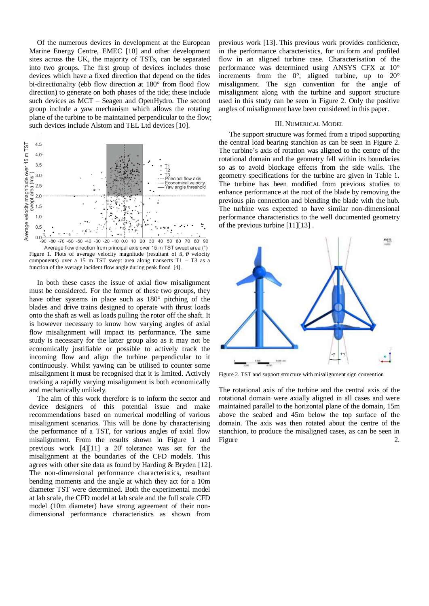Of the numerous devices in development at the European Marine Energy Centre, EMEC [10] and other development sites across the UK, the majority of TSTs, can be separated into two groups. The first group of devices includes those devices which have a fixed direction that depend on the tides bi-directionality (ebb flow direction at 180° from flood flow direction) to generate on both phases of the tide; these include such devices as MCT – Seagen and OpenHydro. The second group include a yaw mechanism which allows the rotating plane of the turbine to be maintained perpendicular to the flow; such devices include Alstom and TEL Ltd devices [10].



Average flow direction from principal axis over 15 m TST swept area (°) Figure 1. Plots of average velocity magnitude (resultant of  $\bar{u}$ ,  $\bar{v}$  velocity components) over a 15 m TST swept area along transects  $T1 - T3$  as a function of the average incident flow angle during peak flood [4].

In both these cases the issue of axial flow misalignment must be considered. For the former of these two groups, they have other systems in place such as 180° pitching of the blades and drive trains designed to operate with thrust loads onto the shaft as well as loads pulling the rotor off the shaft. It is however necessary to know how varying angles of axial flow misalignment will impact its performance. The same study is necessary for the latter group also as it may not be economically justifiable or possible to actively track the incoming flow and align the turbine perpendicular to it continuously. Whilst yawing can be utilised to counter some misalignment it must be recognised that it is limited. Actively tracking a rapidly varying misalignment is both economically and mechanically unlikely.

The aim of this work therefore is to inform the sector and device designers of this potential issue and make recommendations based on numerical modelling of various misalignment scenarios. This will be done by characterising the performance of a TST, for various angles of axial flow misalignment. From the results shown in Figure 1 and previous work [4][11] a 20̊ tolerance was set for the misalignment at the boundaries of the CFD models. This agrees with other site data as found by Harding & Bryden [12]. The non-dimensional performance characteristics, resultant bending moments and the angle at which they act for a 10m diameter TST were determined. Both the experimental model at lab scale, the CFD model at lab scale and the full scale CFD model (10m diameter) have strong agreement of their nondimensional performance characteristics as shown from

previous work [13]. This previous work provides confidence, in the performance characteristics, for uniform and profiled flow in an aligned turbine case. Characterisation of the performance was determined using ANSYS CFX at 10° increments from the 0°, aligned turbine, up to 20° misalignment. The sign convention for the angle of misalignment along with the turbine and support structure used in this study can be seen in Figure 2. Only the positive angles of misalignment have been considered in this paper.

## III. NUMERICAL MODEL

The support structure was formed from a tripod supporting the central load bearing stanchion as can be seen in Figure 2. The turbine's axis of rotation was aligned to the centre of the rotational domain and the geometry fell within its boundaries so as to avoid blockage effects from the side walls. The geometry specifications for the turbine are given in Table 1. The turbine has been modified from previous studies to enhance performance at the root of the blade by removing the previous pin connection and blending the blade with the hub. The turbine was expected to have similar non-dimensional performance characteristics to the well documented geometry of the previous turbine [11][13] .



Figure 2. TST and support structure with misalignment sign convention

The rotational axis of the turbine and the central axis of the rotational domain were axially aligned in all cases and were maintained parallel to the horizontal plane of the domain, 15m above the seabed and 45m below the top surface of the domain. The axis was then rotated about the centre of the stanchion, to produce the misaligned cases, as can be seen in Figure 2.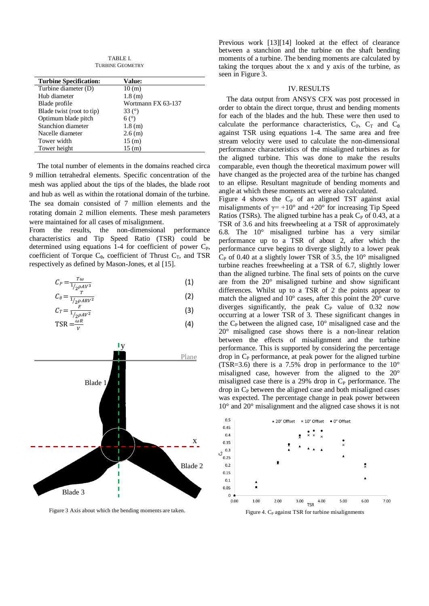TABLE I. TURBINE GEOMETRY

| <b>Turbine Specification:</b> | Value:             |
|-------------------------------|--------------------|
| Turbine diameter (D)          | 10(m)              |
| Hub diameter                  | 1.8(m)             |
| Blade profile                 | Wortmann FX 63-137 |
| Blade twist (root to tip)     | 33 $(°)$           |
| Optimum blade pitch           | $6(^\circ)$        |
| Stanchion diameter            | 1.8(m)             |
| Nacelle diameter              | 2.6(m)             |
| Tower width                   | 15(m)              |
| Tower height                  | 15(m)              |
|                               |                    |

The total number of elements in the domains reached circa 9 million tetrahedral elements. Specific concentration of the mesh was applied about the tips of the blades, the blade root and hub as well as within the rotational domain of the turbine. The sea domain consisted of 7 million elements and the rotating domain 2 million elements. These mesh parameters were maintained for all cases of misalignment.

From the results, the non-dimensional performance characteristics and Tip Speed Ratio (TSR) could be determined using equations  $1-4$  for coefficient of power  $C_{P}$ , coefficient of Torque  $C_{\theta}$ , coefficient of Thrust  $C_T$ , and TSR respectively as defined by Mason-Jones, et al [15].

$$
C_P = \frac{r\omega}{1/2\rho A V^3} \tag{1}
$$

$$
C_{\theta} = \frac{T}{1/2\rho A R V^2}
$$
\n
$$
C_T = \frac{F}{1/2\rho A V^2}
$$
\n(2)

$$
C_T = \frac{r}{1/\rho A V^2}
$$
 (3)  
TSR =  $\frac{\omega R}{V}$  (4)



Figure 3 Axis about which the bending moments are taken. Figure 4. C<sub>P</sub> against TSR for turbine misalignments

Previous work [13][14] looked at the effect of clearance between a stanchion and the turbine on the shaft bending moments of a turbine. The bending moments are calculated by taking the torques about the x and y axis of the turbine, as seen in Figure 3.

#### IV.RESULTS

The data output from ANSYS CFX was post processed in order to obtain the direct torque, thrust and bending moments for each of the blades and the hub. These were then used to calculate the performance characteristics,  $C_{P}$ ,  $C_{T}$  and  $C_{\theta}$ against TSR using equations 1-4. The same area and free stream velocity were used to calculate the non-dimensional performance characteristics of the misaligned turbines as for the aligned turbine. This was done to make the results comparable, even though the theoretical maximum power will have changed as the projected area of the turbine has changed to an ellipse. Resultant magnitude of bending moments and angle at which these moments act were also calculated.

Figure 4 shows the  $C_P$  of an aligned TST against axial misalignments of  $\gamma$ = +10° and +20° for increasing Tip Speed Ratios (TSRs). The aligned turbine has a peak  $C<sub>P</sub>$  of 0.43, at a TSR of 3.6 and hits freewheeling at a TSR of approximately 6.8. The 10° misaligned turbine has a very similar performance up to a TSR of about 2, after which the performance curve begins to diverge slightly to a lower peak  $C_{P}$  of 0.40 at a slightly lower TSR of 3.5, the 10 $^{\circ}$  misaligned turbine reaches freewheeling at a TSR of 6.7, slightly lower than the aligned turbine. The final sets of points on the curve are from the 20° misaligned turbine and show significant differences. Whilst up to a TSR of 2 the points appear to match the aligned and 10° cases, after this point the 20° curve diverges significantly, the peak  $C_P$  value of 0.32 now occurring at a lower TSR of 3. These significant changes in the  $C_P$  between the aligned case,  $10^{\circ}$  misaligned case and the 20° misaligned case shows there is a non-linear relation between the effects of misalignment and the turbine performance. This is supported by considering the percentage drop in  $C_P$  performance, at peak power for the aligned turbine (TSR=3.6) there is a 7.5% drop in performance to the  $10^{\circ}$ misaligned case, however from the aligned to the 20° misaligned case there is a  $29\%$  drop in  $C_{P}$  performance. The  $drop$  in  $C<sub>P</sub>$  between the aligned case and both misaligned cases was expected. The percentage change in peak power between 10° and 20° misalignment and the aligned case shows it is not

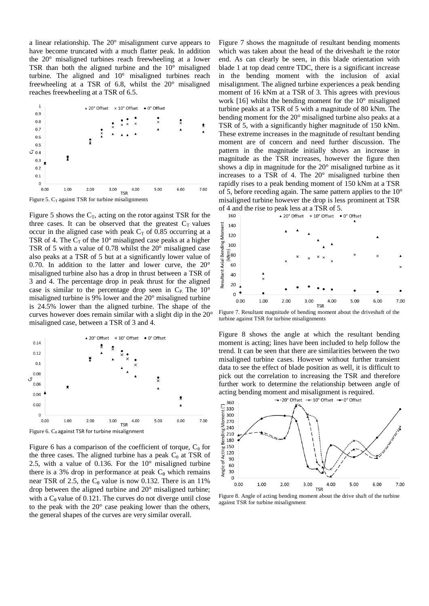a linear relationship. The 20° misalignment curve appears to have become truncated with a much flatter peak. In addition the 20° misaligned turbines reach freewheeling at a lower TSR than both the aligned turbine and the 10° misaligned turbine. The aligned and 10° misaligned turbines reach freewheeling at a TSR of 6.8, whilst the 20° misaligned reaches freewheeling at a TSR of 6.5.



Figure 5 shows the  $C_T$ , acting on the rotor against TSR for the three cases. It can be observed that the greatest  $C_T$  values occur in the aligned case with peak  $C_T$  of 0.85 occurring at a TSR of 4. The  $C_T$  of the 10° misaligned case peaks at a higher TSR of 5 with a value of 0.78 whilst the 20° misaligned case also peaks at a TSR of 5 but at a significantly lower value of 0.70. In addition to the latter and lower curve, the 20° misaligned turbine also has a drop in thrust between a TSR of 3 and 4. The percentage drop in peak thrust for the aligned case is similar to the percentage drop seen in  $C_{P}$ . The 10° misaligned turbine is 9% lower and the 20° misaligned turbine is 24.5% lower than the aligned turbine. The shape of the curves however does remain similar with a slight dip in the 20° misaligned case, between a TSR of 3 and 4.



Figure 6.  $C_{\theta}$  against TSR for turbine misalignment

Figure 6 has a comparison of the coefficient of torque,  $C_{\theta}$  for the three cases. The aligned turbine has a peak  $C_{\theta}$  at TSR of 2.5, with a value of 0.136. For the 10° misaligned turbine there is a 3% drop in performance at peak  $C_{\theta}$  which remains near TSR of 2.5, the  $C_{\theta}$  value is now 0.132. There is an 11% drop between the aligned turbine and 20° misaligned turbine; with a  $C_\theta$  value of 0.121. The curves do not diverge until close to the peak with the 20° case peaking lower than the others, the general shapes of the curves are very similar overall.

Figure 7 shows the magnitude of resultant bending moments which was taken about the head of the driveshaft ie the rotor end. As can clearly be seen, in this blade orientation with blade 1 at top dead centre TDC, there is a significant increase in the bending moment with the inclusion of axial misalignment. The aligned turbine experiences a peak bending moment of 16 kNm at a TSR of 3. This agrees with previous work [16] whilst the bending moment for the 10° misaligned turbine peaks at a TSR of 5 with a magnitude of 80 kNm. The bending moment for the 20° misaligned turbine also peaks at a TSR of 5, with a significantly higher magnitude of 150 kNm. These extreme increases in the magnitude of resultant bending moment are of concern and need further discussion. The pattern in the magnitude initially shows an increase in magnitude as the TSR increases, however the figure then shows a dip in magnitude for the 20° misaligned turbine as it increases to a TSR of 4. The 20° misaligned turbine then rapidly rises to a peak bending moment of 150 kNm at a TSR of 5, before receding again. The same pattern applies to the 10° misaligned turbine however the drop is less prominent at TSR of 4 and the rise to peak less at a TSR of 5.<br> $160$ 



Figure 7. Resultant magnitude of bending moment about the driveshaft of the turbine against TSR for turbine misalignments

Figure 8 shows the angle at which the resultant bending moment is acting; lines have been included to help follow the trend. It can be seen that there are similarities between the two misaligned turbine cases. However without further transient data to see the effect of blade position as well, it is difficult to pick out the correlation to increasing the TSR and therefore further work to determine the relationship between angle of acting bending moment and misalignment is required.<br> $\rightarrow$ -20° 0ffset  $\rightarrow$ -10° 0ffset  $\rightarrow$ -0° 0ffset



Figure 8. Angle of acting bending moment about the drive shaft of the turbine against TSR for turbine misalignment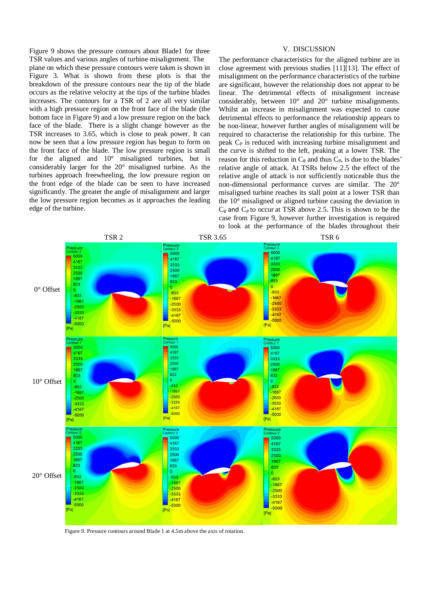Figure 9 shows the pressure contours about Blade1 for three TSR values and various angles of turbine misalignment. The

## V. DISCUSSION

plane on which these pressure contours were taken is shown in Figure 3. What is shown from these plots is that the breakdown of the pressure contours near the tip of the blade occurs as the relative velocity at the tips of the turbine blades increases. The contours for a TSR of 2 are all very similar with a high pressure region on the front face of the blade (the bottom face in Figure 9) and a low pressure region on the back face of the blade. There is a slight change however as the TSR increases to 3.65, which is close to peak power. It can now be seen that a low pressure region has begun to form on the front face of the blade. The low pressure region is small for the aligned and 10° misaligned turbines, but is considerably larger for the 20° misaligned turbine. As the turbines approach freewheeling, the low pressure region on the front edge of the blade can be seen to have increased significantly. The greater the angle of misalignment and larger the low pressure region becomes as it approaches the leading edge of the turbine.

The performance characteristics for the aligned turbine are in close agreement with previous studies [11][13]. The effect of misalignment on the performance characteristics of the turbine are significant, however the relationship does not appear to be linear. The detrimental effects of misalignment increase considerably, between 10° and 20° turbine misalignments. Whilst an increase in misalignment was expected to cause detrimental effects to performance the relationship appears to be non-linear, however further angles of misalignment will be required to characterise the relationship for this turbine. The peak  $C_{P}$  is reduced with increasing turbine misalignment and the curve is shifted to the left, peaking at a lower TSR. The reason for this reduction in  $C_\theta$  and thus  $C_\theta$ , is due to the blades' relative angle of attack. At TSRs below 2.5 the effect of the relative angle of attack is not sufficiently noticeable thus the non-dimensional performance curves are similar. The 20° misaligned turbine reaches its stall point at a lower TSR than the 10° misaligned or aligned turbine causing the deviation in  $C_{\theta}$  and  $C_{\theta}$  to occur at TSR above 2.5. This is shown to be the case from Figure 9, however further investigation is required to look at the performance of the blades throughout their



Figure 9. Pressure contours around Blade 1 at 4.5m above the axis of rotation.